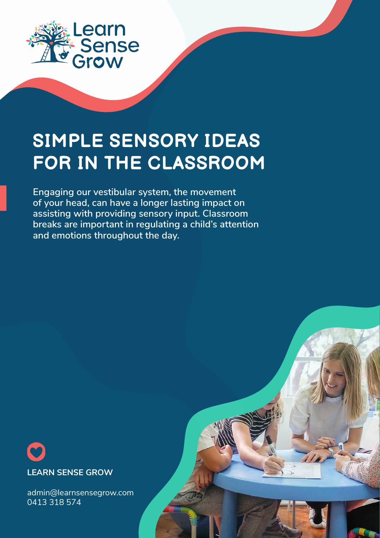

## **SIMPLE SENSORY IDEAS FOR IN THE CLASSROOM**

**Engaging our vestibular system, the movement of your head, can have a longer lasting impact on assisting with providing sensory input. Classroom breaks are important in regulating a child's attention and emotions throughout the day.**



admin@learnsensegrow.com 0413 318 574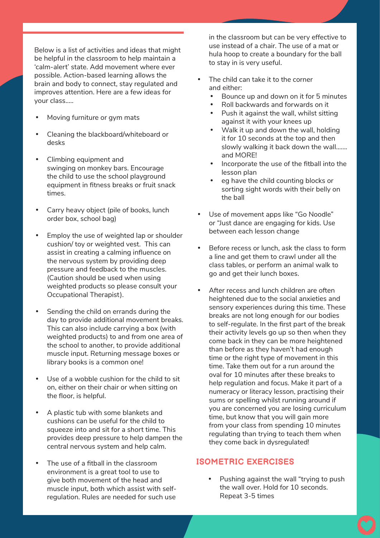Below is a list of activities and ideas that might be helpful in the classroom to help maintain a 'calm-alert' state. Add movement where ever possible. Action-based learning allows the brain and body to connect, stay regulated and improves attention. Here are a few ideas for your class…..

- Moving furniture or gym mats
- Cleaning the blackboard/whiteboard or desks
- Climbing equipment and swinging on monkey bars. Encourage the child to use the school playground equipment in fitness breaks or fruit snack times.
- Carry heavy object (pile of books, lunch order box, school bag)
- Employ the use of weighted lap or shoulder cushion/ toy or weighted vest. This can assist in creating a calming influence on the nervous system by providing deep pressure and feedback to the muscles. (Caution should be used when using weighted products so please consult your Occupational Therapist).
- Sending the child on errands during the day to provide additional movement breaks. This can also include carrying a box (with weighted products) to and from one area of the school to another, to provide additional muscle input. Returning message boxes or library books is a common one!
- Use of a wobble cushion for the child to sit on, either on their chair or when sitting on the floor, is helpful.
- A plastic tub with some blankets and cushions can be useful for the child to squeeze into and sit for a short time. This provides deep pressure to help dampen the central nervous system and help calm.
- The use of a fitball in the classroom environment is a great tool to use to give both movement of the head and muscle input, both which assist with selfregulation. Rules are needed for such use

in the classroom but can be very effective to use instead of a chair. The use of a mat or hula hoop to create a boundary for the ball to stay in is very useful.

- The child can take it to the corner and either:
	- Bounce up and down on it for 5 minutes
	- Roll backwards and forwards on it
	- Push it against the wall, whilst sitting against it with your knees up
	- Walk it up and down the wall, holding it for 10 seconds at the top and then slowly walking it back down the wall……. and MORE!
	- Incorporate the use of the fitball into the lesson plan
	- eg have the child counting blocks or sorting sight words with their belly on the ball
- Use of movement apps like "Go Noodle" or "Just dance are engaging for kids. Use between each lesson change
- Before recess or lunch, ask the class to form a line and get them to crawl under all the class tables, or perform an animal walk to go and get their lunch boxes.
- After recess and lunch children are often heightened due to the social anxieties and sensory experiences during this time. These breaks are not long enough for our bodies to self-regulate. In the first part of the break their activity levels go up so then when they come back in they can be more heightened than before as they haven't had enough time or the right type of movement in this time. Take them out for a run around the oval for 10 minutes after these breaks to help regulation and focus. Make it part of a numeracy or literacy lesson, practising their sums or spelling whilst running around if you are concerned you are losing curriculum time, but know that you will gain more from your class from spending 10 minutes regulating than trying to teach them when they come back in dysregulated!

## **ISOMETRIC EXERCISES**

Pushing against the wall "trying to push the wall over. Hold for 10 seconds. Repeat 3-5 times